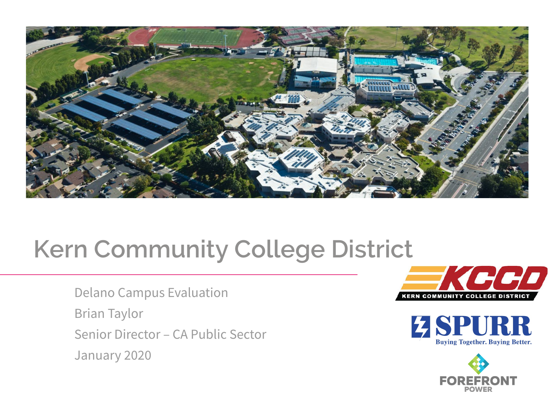

## **Kern Community College District**

Delano Campus Evaluation Brian Taylor Senior Director – CA Public Sector January 2020





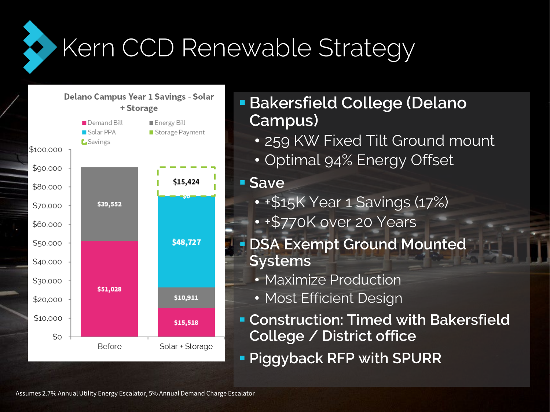Kern CCD Renewable Strategy



 **Bakersfield College (Delano Campus)**

• 259 KW Fixed Tilt Ground mount

• Optimal 94% Energy Offset

## **Save**

- +\$15K Year 1 Savings (17%)
- +\$770K over 20 Years
- **DSA Exempt Ground Mounted Systems**
	- Maximize Production
	- Most Efficient Design
- **Construction: Timed with Bakersfield College / District office**
- **Piggyback RFP with SPURR**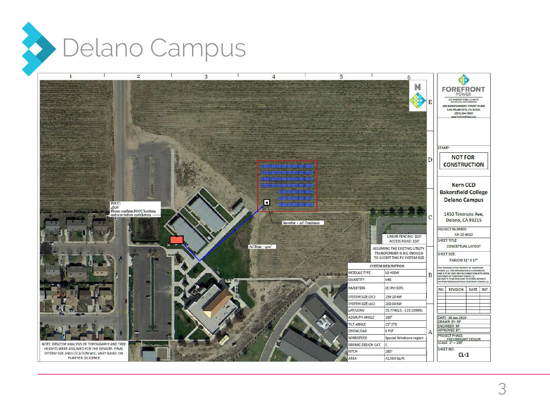